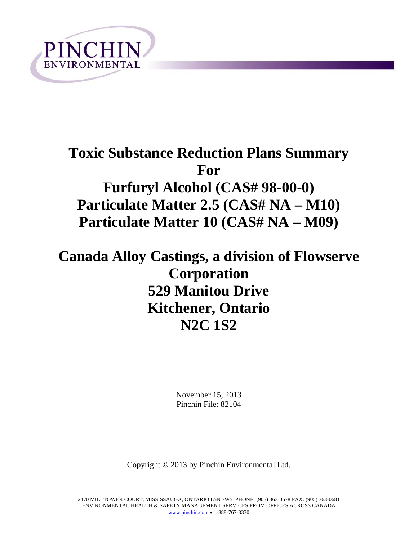

# **Toxic Substance Reduction Plans Summary For Furfuryl Alcohol (CAS# 98-00-0) Particulate Matter 2.5 (CAS# NA – M10) Particulate Matter 10 (CAS# NA – M09)**

**Canada Alloy Castings, a division of Flowserve Corporation 529 Manitou Drive Kitchener, Ontario N2C 1S2**

> November 15, 2013 Pinchin File: 82104

Copyright © 2013 by Pinchin Environmental Ltd.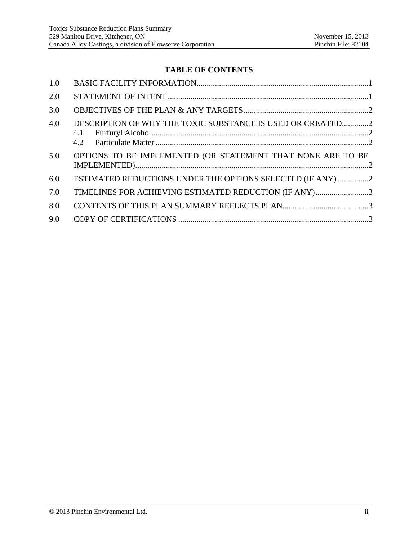## **TABLE OF CONTENTS**

| 1.0 |                                                                   |
|-----|-------------------------------------------------------------------|
| 2.0 |                                                                   |
| 3.0 |                                                                   |
| 4.0 | DESCRIPTION OF WHY THE TOXIC SUBSTANCE IS USED OR CREATED2<br>4.1 |
| 5.0 | OPTIONS TO BE IMPLEMENTED (OR STATEMENT THAT NONE ARE TO BE       |
| 6.0 | ESTIMATED REDUCTIONS UNDER THE OPTIONS SELECTED (IF ANY) 2        |
| 7.0 | TIMELINES FOR ACHIEVING ESTIMATED REDUCTION (IF ANY)3             |
| 8.0 |                                                                   |
| 9.0 |                                                                   |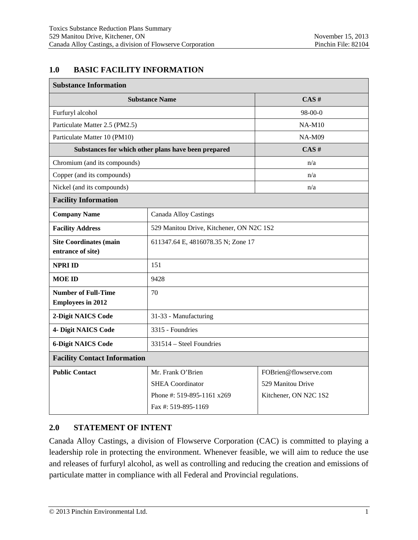#### **1.0 BASIC FACILITY INFORMATION**

| <b>Substance Information</b>                           |                                                     |                       |  |
|--------------------------------------------------------|-----------------------------------------------------|-----------------------|--|
|                                                        | <b>Substance Name</b>                               | CAS#                  |  |
| Furfuryl alcohol                                       |                                                     | $98-00-0$             |  |
| Particulate Matter 2.5 (PM2.5)                         |                                                     | $NA-M10$              |  |
| Particulate Matter 10 (PM10)                           |                                                     | $NA-M09$              |  |
|                                                        | Substances for which other plans have been prepared | CAS#                  |  |
| Chromium (and its compounds)                           |                                                     | n/a                   |  |
| Copper (and its compounds)                             |                                                     | n/a                   |  |
| Nickel (and its compounds)                             |                                                     | n/a                   |  |
| <b>Facility Information</b>                            |                                                     |                       |  |
| <b>Company Name</b>                                    | <b>Canada Alloy Castings</b>                        |                       |  |
| <b>Facility Address</b>                                | 529 Manitou Drive, Kitchener, ON N2C 1S2            |                       |  |
| <b>Site Coordinates (main</b><br>entrance of site)     | 611347.64 E, 4816078.35 N; Zone 17                  |                       |  |
| <b>NPRI ID</b>                                         | 151                                                 |                       |  |
| <b>MOE ID</b>                                          | 9428                                                |                       |  |
| <b>Number of Full-Time</b><br><b>Employees in 2012</b> | 70                                                  |                       |  |
| 2-Digit NAICS Code                                     | 31-33 - Manufacturing                               |                       |  |
| 4- Digit NAICS Code                                    | 3315 - Foundries                                    |                       |  |
| <b>6-Digit NAICS Code</b>                              | 331514 – Steel Foundries                            |                       |  |
| <b>Facility Contact Information</b>                    |                                                     |                       |  |
| <b>Public Contact</b>                                  | Mr. Frank O'Brien                                   | FOBrien@flowserve.com |  |
|                                                        | <b>SHEA</b> Coordinator                             | 529 Manitou Drive     |  |
|                                                        | Phone #: 519-895-1161 x269<br>Fax #: 519-895-1169   | Kitchener, ON N2C 1S2 |  |
|                                                        |                                                     |                       |  |

# **2.0 STATEMENT OF INTENT**

Canada Alloy Castings, a division of Flowserve Corporation (CAC) is committed to playing a leadership role in protecting the environment. Whenever feasible, we will aim to reduce the use and releases of furfuryl alcohol, as well as controlling and reducing the creation and emissions of particulate matter in compliance with all Federal and Provincial regulations.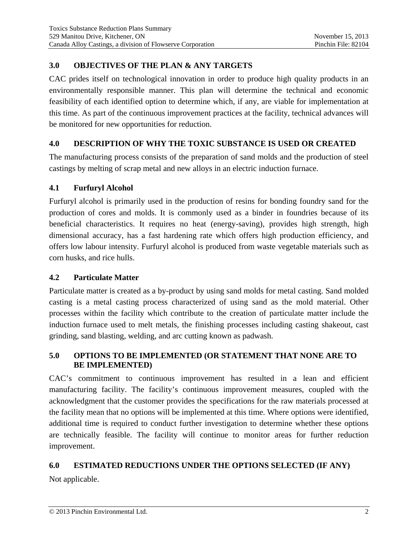# **3.0 OBJECTIVES OF THE PLAN & ANY TARGETS**

CAC prides itself on technological innovation in order to produce high quality products in an environmentally responsible manner. This plan will determine the technical and economic feasibility of each identified option to determine which, if any, are viable for implementation at this time. As part of the continuous improvement practices at the facility, technical advances will be monitored for new opportunities for reduction.

# **4.0 DESCRIPTION OF WHY THE TOXIC SUBSTANCE IS USED OR CREATED**

The manufacturing process consists of the preparation of sand molds and the production of steel castings by melting of scrap metal and new alloys in an electric induction furnace.

### **4.1 Furfuryl Alcohol**

Furfuryl alcohol is primarily used in the production of resins for bonding foundry sand for the production of cores and molds. It is commonly used as a binder in foundries because of its beneficial characteristics. It requires no heat (energy-saving), provides high strength, high dimensional accuracy, has a fast hardening rate which offers high production efficiency, and offers low labour intensity. Furfuryl alcohol is produced from waste vegetable materials such as corn husks, and rice hulls.

# **4.2 Particulate Matter**

Particulate matter is created as a by-product by using sand molds for metal casting. Sand molded casting is a metal casting process characterized of using sand as the mold material. Other processes within the facility which contribute to the creation of particulate matter include the induction furnace used to melt metals, the finishing processes including casting shakeout, cast grinding, sand blasting, welding, and arc cutting known as padwash.

### **5.0 OPTIONS TO BE IMPLEMENTED (OR STATEMENT THAT NONE ARE TO BE IMPLEMENTED)**

CAC's commitment to continuous improvement has resulted in a lean and efficient manufacturing facility. The facility's continuous improvement measures, coupled with the acknowledgment that the customer provides the specifications for the raw materials processed at the facility mean that no options will be implemented at this time. Where options were identified, additional time is required to conduct further investigation to determine whether these options are technically feasible. The facility will continue to monitor areas for further reduction improvement.

# **6.0 ESTIMATED REDUCTIONS UNDER THE OPTIONS SELECTED (IF ANY)**

Not applicable.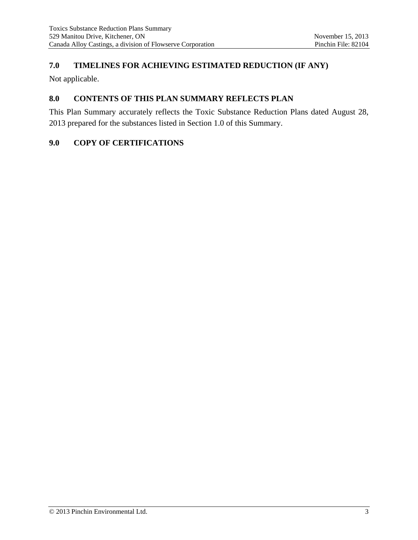# **7.0 TIMELINES FOR ACHIEVING ESTIMATED REDUCTION (IF ANY)**

Not applicable.

#### **8.0 CONTENTS OF THIS PLAN SUMMARY REFLECTS PLAN**

This Plan Summary accurately reflects the Toxic Substance Reduction Plans dated August 28, 2013 prepared for the substances listed in Section 1.0 of this Summary.

#### **9.0 COPY OF CERTIFICATIONS**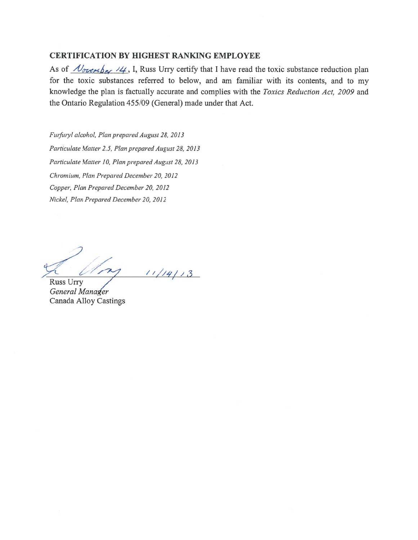#### **CERTIFICATION BY HIGHEST RANKING EMPLOYEE**

As of  $\sqrt{\mathcal{O}_{\alpha\beta}}$  /4, I, Russ Urry certify that I have read the toxic substance reduction plan for the toxic substances referred to below, and am familiar with its contents, and to my knowledge the plan is factually accurate and complies with the Toxics Reduction Act, 2009 and the Ontario Regulation 455/09 (General) made under that Act.

Furfuryl alcohol, Plan prepared August 28, 2013 Particulate Matter 2.5, Plan prepared August 28, 2013 Particulate Matter 10, Plan prepared August 28, 2013 Chromium, Plan Prepared December 20, 2012 Copper, Plan Prepared December 20, 2012 Nickel, Plan Prepared December 20, 2012

 $11/14/13$ m

**Russ Urry** General Manager **Canada Alloy Castings**